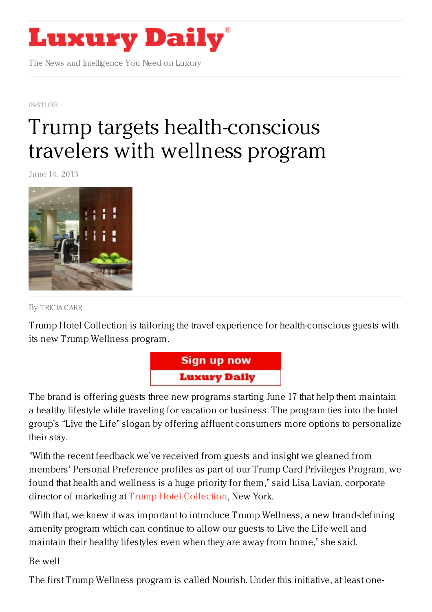

The News and Intelligence You Need on Luxury

[IN-STORE](https://www.luxurydaily.com/category/news/in-store/)

## Trump targets [health-conscious](https://www.luxurydaily.com/trump-targets-health-conscious-travelers-with-wellness-program/) travelers with wellness program

June 14, 2013



By [TRICIA](/author/tricia-carr) CARR

Trump Hotel Collection is tailoring the travel experience for health-conscious guests with its new Trump Wellness program.



The brand is offering guests three new programs starting June 17 that help them maintain a healthy lifestyle while traveling for vacation or business. The program ties into the hotel group's "Live the Life" slogan by offering affluent consumers more options to personalize their stay.

"With the recent feedback we've received from guests and insight we gleaned from members' Personal Preference profiles as part of our Trump Card Privileges Program, we found that health and wellness is a huge priority for them," said Lisa Lavian, corporate director of marketing at Trump Hotel [Collection](http://www.trumphotelcollection.com/), New York.

"With that, we knew it was important to introduce Trump Wellness, a new brand-defining amenity program which can continue to allow our guests to Live the Life well and maintain their healthy lifestyles even when they are away from home," she said.

Be well

The first Trump Wellness program is called Nourish. Under this initiative, at least one-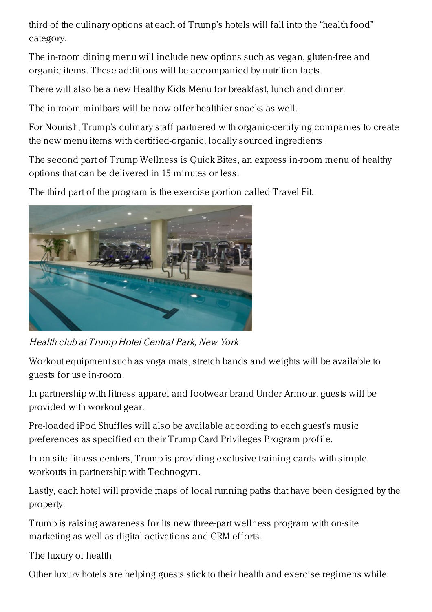third of the culinary options at each of Trump's hotels will fall into the "health food" category.

The in-room dining menu will include new options such as vegan, gluten-free and organic items. These additions will be accompanied by nutrition facts.

There will also be a new Healthy Kids Menu for breakfast, lunch and dinner.

The in-room minibars will be now offer healthier snacks as well.

For Nourish, Trump's culinary staff partnered with organic-certifying companies to create the new menu items with certified-organic, locally sourced ingredients.

The second part of Trump Wellness is Quick Bites, an express in-room menu of healthy options that can be delivered in 15 minutes or less.

The third part of the program is the exercise portion called Travel Fit.



Health club at Trump Hotel Central Park, New York

Workout equipment such as yoga mats, stretch bands and weights will be available to guests for use in-room.

In partnership with fitness apparel and footwear brand Under Armour, guests will be provided with workout gear.

Pre-loaded iPod Shuffles will also be available according to each guest's music preferences as specified on their Trump Card Privileges Program profile.

In on-site fitness centers, Trump is providing exclusive training cards with simple workouts in partnership with Technogym.

Lastly, each hotel will provide maps of local running paths that have been designed by the property.

Trump is raising awareness for its new three-part wellness program with on-site marketing as well as digital activations and CRM efforts.

The luxury of health

Other luxury hotels are helping guests stick to their health and exercise regimens while